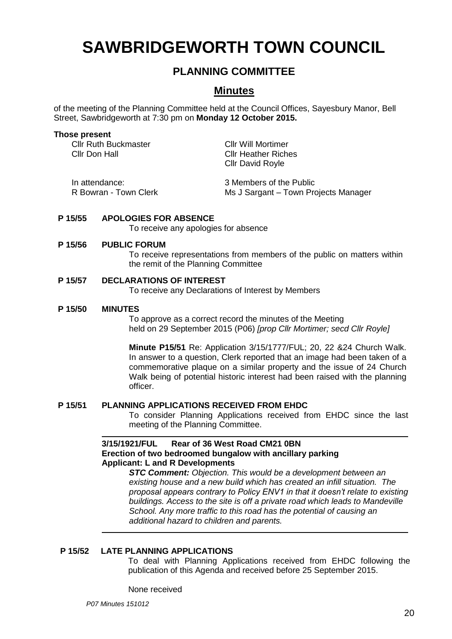# **SAWBRIDGEWORTH TOWN COUNCIL**

# **PLANNING COMMITTEE**

# **Minutes**

of the meeting of the Planning Committee held at the Council Offices, Sayesbury Manor, Bell Street, Sawbridgeworth at 7:30 pm on **Monday 12 October 2015.**

#### **Those present**

Cllr Ruth Buckmaster Cllr Will Mortimer Cllr Don Hall Cllr Heather Riches

Cllr David Royle

| In attendance:        | 3 Members of the Public              |
|-----------------------|--------------------------------------|
| R Bowran - Town Clerk | Ms J Sargant – Town Projects Manager |

### **P 15/55 APOLOGIES FOR ABSENCE**

To receive any apologies for absence

#### **P 15/56 PUBLIC FORUM**

To receive representations from members of the public on matters within the remit of the Planning Committee

### **P 15/57 DECLARATIONS OF INTEREST**

To receive any Declarations of Interest by Members

#### **P 15/50 MINUTES**

To approve as a correct record the minutes of the Meeting held on 29 September 2015 (P06) *[prop Cllr Mortimer; secd Cllr Royle]*

**Minute P15/51** Re: Application 3/15/1777/FUL; 20, 22 &24 Church Walk. In answer to a question, Clerk reported that an image had been taken of a commemorative plaque on a similar property and the issue of 24 Church Walk being of potential historic interest had been raised with the planning officer.

#### **P 15/51 PLANNING APPLICATIONS RECEIVED FROM EHDC**

To consider Planning Applications received from EHDC since the last meeting of the Planning Committee.

### **3/15/1921/FUL Rear of 36 West Road CM21 0BN [Erection of two bedroomed bungalow](https://publicaccess.eastherts.gov.uk/online-applications/applicationDetails.do?activeTab=summary&keyVal=NV0U16GL00X00) with ancillary parking Applicant: L and R Developments**

*STC Comment: Objection. This would be a development between an existing house and a new build which has created an infill situation. The proposal appears contrary to Policy ENV1 in that it doesn't relate to existing buildings. Access to the site is off a private road which leads to Mandeville School. Any more traffic to this road has the potential of causing an additional hazard to children and parents.*

### **P 15/52 LATE PLANNING APPLICATIONS**

To deal with Planning Applications received from EHDC following the publication of this Agenda and received before 25 September 2015.

None received